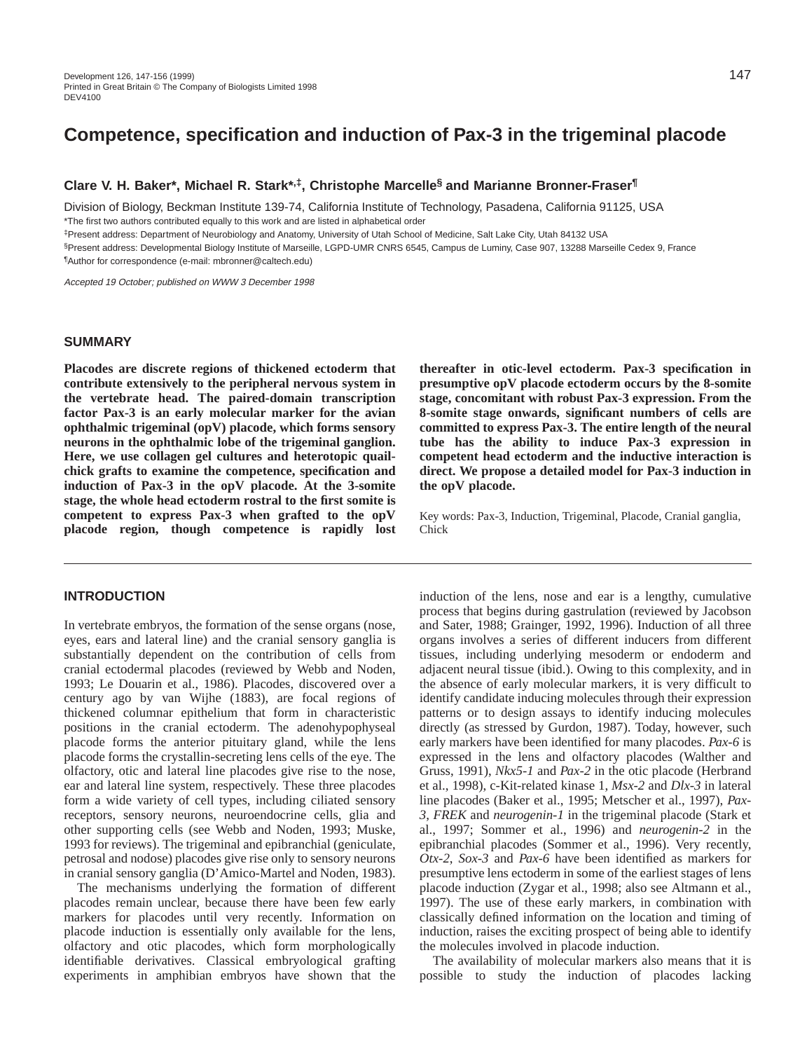# **Competence, specification and induction of Pax-3 in the trigeminal placode**

#### **Clare V. H. Baker\*, Michael R. Stark\*,‡, Christophe Marcelle§ and Marianne Bronner-Fraser¶**

Division of Biology, Beckman Institute 139-74, California Institute of Technology, Pasadena, California 91125, USA \*The first two authors contributed equally to this work and are listed in alphabetical order

‡Present address: Department of Neurobiology and Anatomy, University of Utah School of Medicine, Salt Lake City, Utah 84132 USA

§Present address: Developmental Biology Institute of Marseille, LGPD-UMR CNRS 6545, Campus de Luminy, Case 907, 13288 Marseille Cedex 9, France ¶Author for correspondence (e-mail: mbronner@caltech.edu)

Accepted 19 October; published on WWW 3 December 1998

#### **SUMMARY**

**Placodes are discrete regions of thickened ectoderm that contribute extensively to the peripheral nervous system in the vertebrate head. The paired-domain transcription factor Pax-3 is an early molecular marker for the avian ophthalmic trigeminal (opV) placode, which forms sensory neurons in the ophthalmic lobe of the trigeminal ganglion. Here, we use collagen gel cultures and heterotopic quailchick grafts to examine the competence, specification and induction of Pax-3 in the opV placode. At the 3-somite stage, the whole head ectoderm rostral to the first somite is competent to express Pax-3 when grafted to the opV placode region, though competence is rapidly lost**

**INTRODUCTION**

In vertebrate embryos, the formation of the sense organs (nose, eyes, ears and lateral line) and the cranial sensory ganglia is substantially dependent on the contribution of cells from cranial ectodermal placodes (reviewed by Webb and Noden, 1993; Le Douarin et al., 1986). Placodes, discovered over a century ago by van Wijhe (1883), are focal regions of thickened columnar epithelium that form in characteristic positions in the cranial ectoderm. The adenohypophyseal placode forms the anterior pituitary gland, while the lens placode forms the crystallin-secreting lens cells of the eye. The olfactory, otic and lateral line placodes give rise to the nose, ear and lateral line system, respectively. These three placodes form a wide variety of cell types, including ciliated sensory receptors, sensory neurons, neuroendocrine cells, glia and other supporting cells (see Webb and Noden, 1993; Muske, 1993 for reviews). The trigeminal and epibranchial (geniculate, petrosal and nodose) placodes give rise only to sensory neurons in cranial sensory ganglia (D'Amico-Martel and Noden, 1983).

The mechanisms underlying the formation of different placodes remain unclear, because there have been few early markers for placodes until very recently. Information on placode induction is essentially only available for the lens, olfactory and otic placodes, which form morphologically identifiable derivatives. Classical embryological grafting experiments in amphibian embryos have shown that the

**thereafter in otic-level ectoderm. Pax-3 specification in presumptive opV placode ectoderm occurs by the 8-somite stage, concomitant with robust Pax-3 expression. From the 8-somite stage onwards, significant numbers of cells are committed to express Pax-3. The entire length of the neural tube has the ability to induce Pax-3 expression in competent head ectoderm and the inductive interaction is direct. We propose a detailed model for Pax-3 induction in the opV placode.**

Key words: Pax-3, Induction, Trigeminal, Placode, Cranial ganglia, Chick

induction of the lens, nose and ear is a lengthy, cumulative process that begins during gastrulation (reviewed by Jacobson and Sater, 1988; Grainger, 1992, 1996). Induction of all three organs involves a series of different inducers from different tissues, including underlying mesoderm or endoderm and adjacent neural tissue (ibid.). Owing to this complexity, and in the absence of early molecular markers, it is very difficult to identify candidate inducing molecules through their expression patterns or to design assays to identify inducing molecules directly (as stressed by Gurdon, 1987). Today, however, such early markers have been identified for many placodes. *Pax-6* is expressed in the lens and olfactory placodes (Walther and Gruss, 1991), *Nkx5-1* and *Pax-2* in the otic placode (Herbrand et al., 1998), c-Kit-related kinase 1, *Msx-2* and *Dlx-3* in lateral line placodes (Baker et al., 1995; Metscher et al., 1997), *Pax-3*, *FREK* and *neurogenin-1* in the trigeminal placode (Stark et al., 1997; Sommer et al., 1996) and *neurogenin-2* in the epibranchial placodes (Sommer et al., 1996). Very recently, *Otx-2*, *Sox-3* and *Pax-6* have been identified as markers for presumptive lens ectoderm in some of the earliest stages of lens placode induction (Zygar et al., 1998; also see Altmann et al., 1997). The use of these early markers, in combination with classically defined information on the location and timing of induction, raises the exciting prospect of being able to identify the molecules involved in placode induction.

The availability of molecular markers also means that it is possible to study the induction of placodes lacking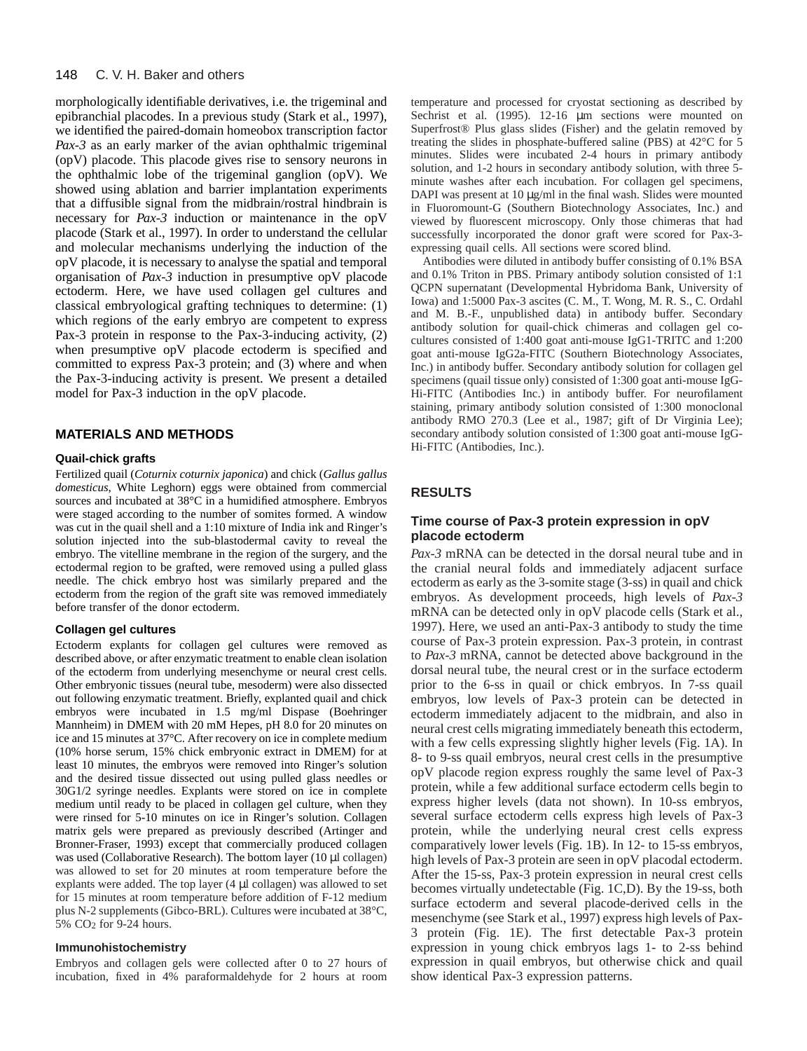#### 148 C. V. H. Baker and others

morphologically identifiable derivatives, i.e. the trigeminal and epibranchial placodes. In a previous study (Stark et al., 1997), we identified the paired-domain homeobox transcription factor *Pax-3* as an early marker of the avian ophthalmic trigeminal (opV) placode. This placode gives rise to sensory neurons in the ophthalmic lobe of the trigeminal ganglion (opV). We showed using ablation and barrier implantation experiments that a diffusible signal from the midbrain/rostral hindbrain is necessary for *Pax-3* induction or maintenance in the opV placode (Stark et al., 1997). In order to understand the cellular and molecular mechanisms underlying the induction of the opV placode, it is necessary to analyse the spatial and temporal organisation of *Pax-3* induction in presumptive opV placode ectoderm. Here, we have used collagen gel cultures and classical embryological grafting techniques to determine: (1) which regions of the early embryo are competent to express Pax-3 protein in response to the Pax-3-inducing activity, (2) when presumptive opV placode ectoderm is specified and committed to express Pax-3 protein; and (3) where and when the Pax-3-inducing activity is present. We present a detailed model for Pax-3 induction in the opV placode.

#### **MATERIALS AND METHODS**

#### **Quail-chick grafts**

Fertilized quail (*Coturnix coturnix japonica*) and chick (*Gallus gallus domesticus*, White Leghorn) eggs were obtained from commercial sources and incubated at 38°C in a humidified atmosphere. Embryos were staged according to the number of somites formed. A window was cut in the quail shell and a 1:10 mixture of India ink and Ringer's solution injected into the sub-blastodermal cavity to reveal the embryo. The vitelline membrane in the region of the surgery, and the ectodermal region to be grafted, were removed using a pulled glass needle. The chick embryo host was similarly prepared and the ectoderm from the region of the graft site was removed immediately before transfer of the donor ectoderm.

#### **Collagen gel cultures**

Ectoderm explants for collagen gel cultures were removed as described above, or after enzymatic treatment to enable clean isolation of the ectoderm from underlying mesenchyme or neural crest cells. Other embryonic tissues (neural tube, mesoderm) were also dissected out following enzymatic treatment. Briefly, explanted quail and chick embryos were incubated in 1.5 mg/ml Dispase (Boehringer Mannheim) in DMEM with 20 mM Hepes, pH 8.0 for 20 minutes on ice and 15 minutes at 37°C. After recovery on ice in complete medium (10% horse serum, 15% chick embryonic extract in DMEM) for at least 10 minutes, the embryos were removed into Ringer's solution and the desired tissue dissected out using pulled glass needles or 30G1/2 syringe needles. Explants were stored on ice in complete medium until ready to be placed in collagen gel culture, when they were rinsed for 5-10 minutes on ice in Ringer's solution. Collagen matrix gels were prepared as previously described (Artinger and Bronner-Fraser, 1993) except that commercially produced collagen was used (Collaborative Research). The bottom layer (10 µl collagen) was allowed to set for 20 minutes at room temperature before the explants were added. The top layer (4 µl collagen) was allowed to set for 15 minutes at room temperature before addition of F-12 medium plus N-2 supplements (Gibco-BRL). Cultures were incubated at 38°C, 5% CO2 for 9-24 hours.

#### **Immunohistochemistry**

Embryos and collagen gels were collected after 0 to 27 hours of incubation, fixed in 4% paraformaldehyde for 2 hours at room

temperature and processed for cryostat sectioning as described by Sechrist et al. (1995). 12-16  $\mu$ m sections were mounted on Superfrost® Plus glass slides (Fisher) and the gelatin removed by treating the slides in phosphate-buffered saline (PBS) at 42°C for 5 minutes. Slides were incubated 2-4 hours in primary antibody solution, and 1-2 hours in secondary antibody solution, with three 5 minute washes after each incubation. For collagen gel specimens, DAPI was present at  $10 \mu g/ml$  in the final wash. Slides were mounted in Fluoromount-G (Southern Biotechnology Associates, Inc.) and viewed by fluorescent microscopy. Only those chimeras that had successfully incorporated the donor graft were scored for Pax-3 expressing quail cells. All sections were scored blind.

Antibodies were diluted in antibody buffer consisting of 0.1% BSA and 0.1% Triton in PBS. Primary antibody solution consisted of 1:1 QCPN supernatant (Developmental Hybridoma Bank, University of Iowa) and 1:5000 Pax-3 ascites (C. M., T. Wong, M. R. S., C. Ordahl and M. B.-F., unpublished data) in antibody buffer. Secondary antibody solution for quail-chick chimeras and collagen gel cocultures consisted of 1:400 goat anti-mouse IgG1-TRITC and 1:200 goat anti-mouse IgG2a-FITC (Southern Biotechnology Associates, Inc.) in antibody buffer. Secondary antibody solution for collagen gel specimens (quail tissue only) consisted of 1:300 goat anti-mouse IgG-Hi-FITC (Antibodies Inc.) in antibody buffer. For neurofilament staining, primary antibody solution consisted of 1:300 monoclonal antibody RMO 270.3 (Lee et al., 1987; gift of Dr Virginia Lee); secondary antibody solution consisted of 1:300 goat anti-mouse IgG-Hi-FITC (Antibodies, Inc.).

# **RESULTS**

#### **Time course of Pax-3 protein expression in opV placode ectoderm**

*Pax-3* mRNA can be detected in the dorsal neural tube and in the cranial neural folds and immediately adjacent surface ectoderm as early as the 3-somite stage (3-ss) in quail and chick embryos. As development proceeds, high levels of *Pax-3* mRNA can be detected only in opV placode cells (Stark et al., 1997). Here, we used an anti-Pax-3 antibody to study the time course of Pax-3 protein expression. Pax-3 protein, in contrast to *Pax-3* mRNA, cannot be detected above background in the dorsal neural tube, the neural crest or in the surface ectoderm prior to the 6-ss in quail or chick embryos. In 7-ss quail embryos, low levels of Pax-3 protein can be detected in ectoderm immediately adjacent to the midbrain, and also in neural crest cells migrating immediately beneath this ectoderm, with a few cells expressing slightly higher levels (Fig. 1A). In 8- to 9-ss quail embryos, neural crest cells in the presumptive opV placode region express roughly the same level of Pax-3 protein, while a few additional surface ectoderm cells begin to express higher levels (data not shown). In 10-ss embryos, several surface ectoderm cells express high levels of Pax-3 protein, while the underlying neural crest cells express comparatively lower levels (Fig. 1B). In 12- to 15-ss embryos, high levels of Pax-3 protein are seen in opV placodal ectoderm. After the 15-ss, Pax-3 protein expression in neural crest cells becomes virtually undetectable (Fig. 1C,D). By the 19-ss, both surface ectoderm and several placode-derived cells in the mesenchyme (see Stark et al., 1997) express high levels of Pax-3 protein (Fig. 1E). The first detectable Pax-3 protein expression in young chick embryos lags 1- to 2-ss behind expression in quail embryos, but otherwise chick and quail show identical Pax-3 expression patterns.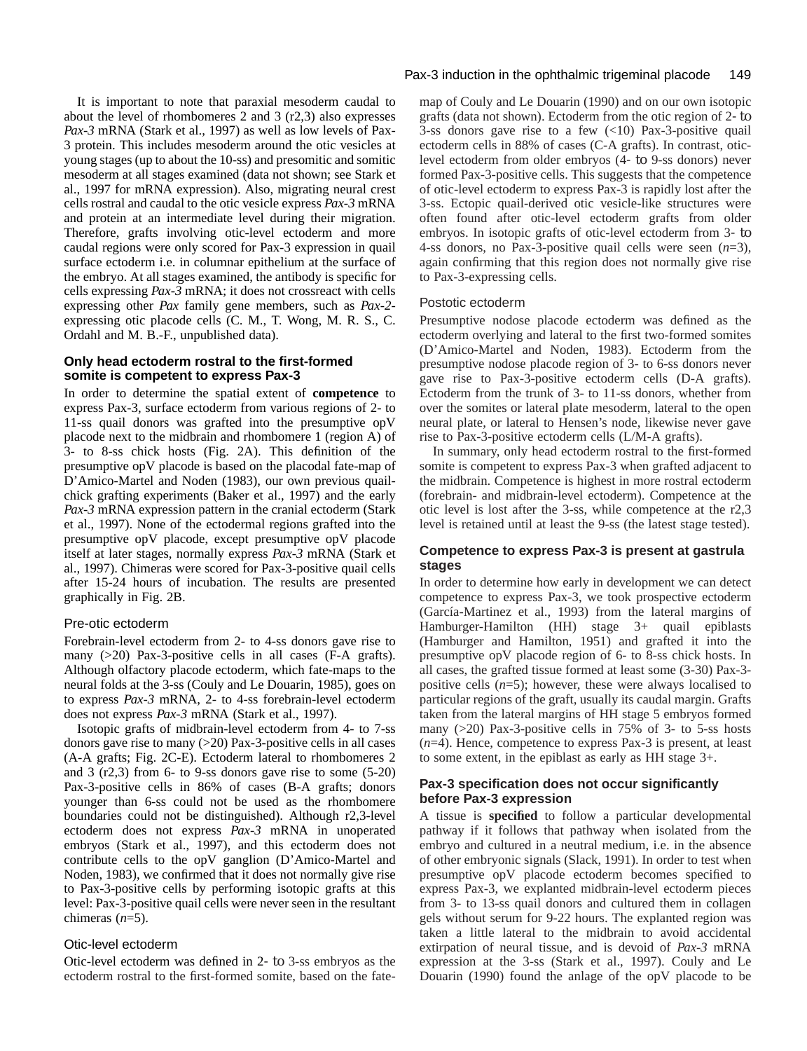It is important to note that paraxial mesoderm caudal to about the level of rhombomeres 2 and 3 (r2,3) also expresses *Pax-3* mRNA (Stark et al., 1997) as well as low levels of Pax-3 protein. This includes mesoderm around the otic vesicles at young stages (up to about the 10-ss) and presomitic and somitic mesoderm at all stages examined (data not shown; see Stark et al., 1997 for mRNA expression). Also, migrating neural crest cells rostral and caudal to the otic vesicle express *Pax-3* mRNA and protein at an intermediate level during their migration. Therefore, grafts involving otic-level ectoderm and more caudal regions were only scored for Pax-3 expression in quail surface ectoderm i.e. in columnar epithelium at the surface of the embryo. At all stages examined, the antibody is specific for cells expressing *Pax-3* mRNA; it does not crossreact with cells expressing other *Pax* family gene members, such as *Pax-2* expressing otic placode cells (C. M., T. Wong, M. R. S., C. Ordahl and M. B.-F., unpublished data).

# **Only head ectoderm rostral to the first-formed somite is competent to express Pax-3**

In order to determine the spatial extent of **competence** to express Pax-3, surface ectoderm from various regions of 2- to 11-ss quail donors was grafted into the presumptive opV placode next to the midbrain and rhombomere 1 (region A) of 3- to 8-ss chick hosts (Fig. 2A). This definition of the presumptive opV placode is based on the placodal fate-map of D'Amico-Martel and Noden (1983), our own previous quailchick grafting experiments (Baker et al., 1997) and the early *Pax-3* mRNA expression pattern in the cranial ectoderm (Stark et al., 1997). None of the ectodermal regions grafted into the presumptive opV placode, except presumptive opV placode itself at later stages, normally express *Pax-3* mRNA (Stark et al., 1997). Chimeras were scored for Pax-3-positive quail cells after 15-24 hours of incubation. The results are presented graphically in Fig. 2B.

# Pre-otic ectoderm

Forebrain-level ectoderm from 2- to 4-ss donors gave rise to many (>20) Pax-3-positive cells in all cases (F-A grafts). Although olfactory placode ectoderm, which fate-maps to the neural folds at the 3-ss (Couly and Le Douarin, 1985), goes on to express *Pax-3* mRNA, 2- to 4-ss forebrain-level ectoderm does not express *Pax-3* mRNA (Stark et al., 1997).

Isotopic grafts of midbrain-level ectoderm from 4- to 7-ss donors gave rise to many  $(>20)$  Pax-3-positive cells in all cases (A-A grafts; Fig. 2C-E). Ectoderm lateral to rhombomeres 2 and  $3$  (r2,3) from 6- to 9-ss donors gave rise to some  $(5-20)$ Pax-3-positive cells in 86% of cases (B-A grafts; donors younger than 6-ss could not be used as the rhombomere boundaries could not be distinguished). Although r2,3-level ectoderm does not express *Pax-3* mRNA in unoperated embryos (Stark et al., 1997), and this ectoderm does not contribute cells to the opV ganglion (D'Amico-Martel and Noden, 1983), we confirmed that it does not normally give rise to Pax-3-positive cells by performing isotopic grafts at this level: Pax-3-positive quail cells were never seen in the resultant chimeras (*n*=5).

# Otic-level ectoderm

Otic-level ectoderm was defined in 2- to 3-ss embryos as the ectoderm rostral to the first-formed somite, based on the fate-

# Pax-3 induction in the ophthalmic trigeminal placode 149

map of Couly and Le Douarin (1990) and on our own isotopic grafts (data not shown). Ectoderm from the otic region of 2- to 3-ss donors gave rise to a few  $(\langle 10 \rangle)$  Pax-3-positive quail ectoderm cells in 88% of cases (C-A grafts). In contrast, oticlevel ectoderm from older embryos (4- to 9-ss donors) never formed Pax-3-positive cells. This suggests that the competence of otic-level ectoderm to express Pax-3 is rapidly lost after the 3-ss. Ectopic quail-derived otic vesicle-like structures were often found after otic-level ectoderm grafts from older embryos. In isotopic grafts of otic-level ectoderm from 3- to 4-ss donors, no Pax-3-positive quail cells were seen (*n*=3), again confirming that this region does not normally give rise to Pax-3-expressing cells.

# Postotic ectoderm

Presumptive nodose placode ectoderm was defined as the ectoderm overlying and lateral to the first two-formed somites (D'Amico-Martel and Noden, 1983). Ectoderm from the presumptive nodose placode region of 3- to 6-ss donors never gave rise to Pax-3-positive ectoderm cells (D-A grafts). Ectoderm from the trunk of 3- to 11-ss donors, whether from over the somites or lateral plate mesoderm, lateral to the open neural plate, or lateral to Hensen's node, likewise never gave rise to Pax-3-positive ectoderm cells (L/M-A grafts).

In summary, only head ectoderm rostral to the first-formed somite is competent to express Pax-3 when grafted adjacent to the midbrain. Competence is highest in more rostral ectoderm (forebrain- and midbrain-level ectoderm). Competence at the otic level is lost after the 3-ss, while competence at the r2,3 level is retained until at least the 9-ss (the latest stage tested).

# **Competence to express Pax-3 is present at gastrula stages**

In order to determine how early in development we can detect competence to express Pax-3, we took prospective ectoderm (García-Martinez et al., 1993) from the lateral margins of Hamburger-Hamilton (HH) stage 3+ quail epiblasts (Hamburger and Hamilton, 1951) and grafted it into the presumptive opV placode region of 6- to 8-ss chick hosts. In all cases, the grafted tissue formed at least some (3-30) Pax-3 positive cells (*n*=5); however, these were always localised to particular regions of the graft, usually its caudal margin. Grafts taken from the lateral margins of HH stage 5 embryos formed many  $(>20)$  Pax-3-positive cells in 75% of 3- to 5-ss hosts (*n*=4). Hence, competence to express Pax-3 is present, at least to some extent, in the epiblast as early as HH stage 3+.

# **Pax-3 specification does not occur significantly before Pax-3 expression**

A tissue is **specified** to follow a particular developmental pathway if it follows that pathway when isolated from the embryo and cultured in a neutral medium, i.e. in the absence of other embryonic signals (Slack, 1991). In order to test when presumptive opV placode ectoderm becomes specified to express Pax-3, we explanted midbrain-level ectoderm pieces from 3- to 13-ss quail donors and cultured them in collagen gels without serum for 9-22 hours. The explanted region was taken a little lateral to the midbrain to avoid accidental extirpation of neural tissue, and is devoid of *Pax-3* mRNA expression at the 3-ss (Stark et al., 1997). Couly and Le Douarin (1990) found the anlage of the opV placode to be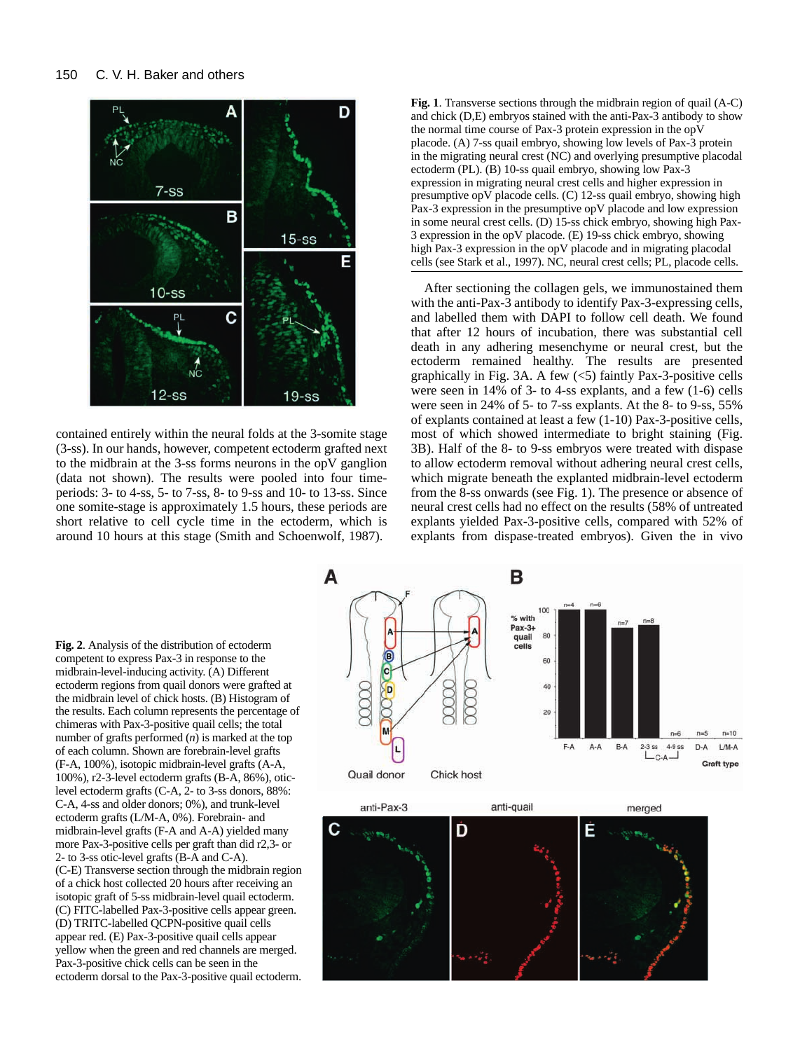

contained entirely within the neural folds at the 3-somite stage (3-ss). In our hands, however, competent ectoderm grafted next to the midbrain at the 3-ss forms neurons in the opV ganglion (data not shown). The results were pooled into four timeperiods: 3- to 4-ss, 5- to 7-ss, 8- to 9-ss and 10- to 13-ss. Since one somite-stage is approximately 1.5 hours, these periods are short relative to cell cycle time in the ectoderm, which is around 10 hours at this stage (Smith and Schoenwolf, 1987).

**Fig. 1**. Transverse sections through the midbrain region of quail (A-C) and chick (D,E) embryos stained with the anti-Pax-3 antibody to show the normal time course of Pax-3 protein expression in the opV placode. (A) 7-ss quail embryo, showing low levels of Pax-3 protein in the migrating neural crest (NC) and overlying presumptive placodal ectoderm (PL). (B) 10-ss quail embryo, showing low Pax-3 expression in migrating neural crest cells and higher expression in presumptive opV placode cells. (C) 12-ss quail embryo, showing high Pax-3 expression in the presumptive opV placode and low expression in some neural crest cells. (D) 15-ss chick embryo, showing high Pax-3 expression in the opV placode. (E) 19-ss chick embryo, showing high Pax-3 expression in the opV placode and in migrating placodal cells (see Stark et al., 1997). NC, neural crest cells; PL, placode cells.

After sectioning the collagen gels, we immunostained them with the anti-Pax-3 antibody to identify Pax-3-expressing cells, and labelled them with DAPI to follow cell death. We found that after 12 hours of incubation, there was substantial cell death in any adhering mesenchyme or neural crest, but the ectoderm remained healthy. The results are presented graphically in Fig. 3A. A few  $(5)$  faintly Pax-3-positive cells were seen in 14% of 3- to 4-ss explants, and a few (1-6) cells were seen in 24% of 5- to 7-ss explants. At the 8- to 9-ss, 55% of explants contained at least a few (1-10) Pax-3-positive cells, most of which showed intermediate to bright staining (Fig. 3B). Half of the 8- to 9-ss embryos were treated with dispase to allow ectoderm removal without adhering neural crest cells, which migrate beneath the explanted midbrain-level ectoderm from the 8-ss onwards (see Fig. 1). The presence or absence of neural crest cells had no effect on the results (58% of untreated explants yielded Pax-3-positive cells, compared with 52% of explants from dispase-treated embryos). Given the in vivo

**Fig. 2**. Analysis of the distribution of ectoderm competent to express Pax-3 in response to the midbrain-level-inducing activity. (A) Different ectoderm regions from quail donors were grafted at the midbrain level of chick hosts. (B) Histogram of the results. Each column represents the percentage of chimeras with Pax-3-positive quail cells; the total number of grafts performed (*n*) is marked at the top of each column. Shown are forebrain-level grafts (F-A, 100%), isotopic midbrain-level grafts (A-A, 100%), r2-3-level ectoderm grafts (B-A, 86%), oticlevel ectoderm grafts (C-A, 2- to 3-ss donors, 88%: C-A, 4-ss and older donors; 0%), and trunk-level ectoderm grafts (L/M-A, 0%). Forebrain- and midbrain-level grafts (F-A and A-A) yielded many more Pax-3-positive cells per graft than did r2,3- or 2- to 3-ss otic-level grafts (B-A and C-A). (C-E) Transverse section through the midbrain region of a chick host collected 20 hours after receiving an isotopic graft of 5-ss midbrain-level quail ectoderm. (C) FITC-labelled Pax-3-positive cells appear green. (D) TRITC-labelled QCPN-positive quail cells appear red. (E) Pax-3-positive quail cells appear yellow when the green and red channels are merged. Pax-3-positive chick cells can be seen in the ectoderm dorsal to the Pax-3-positive quail ectoderm.

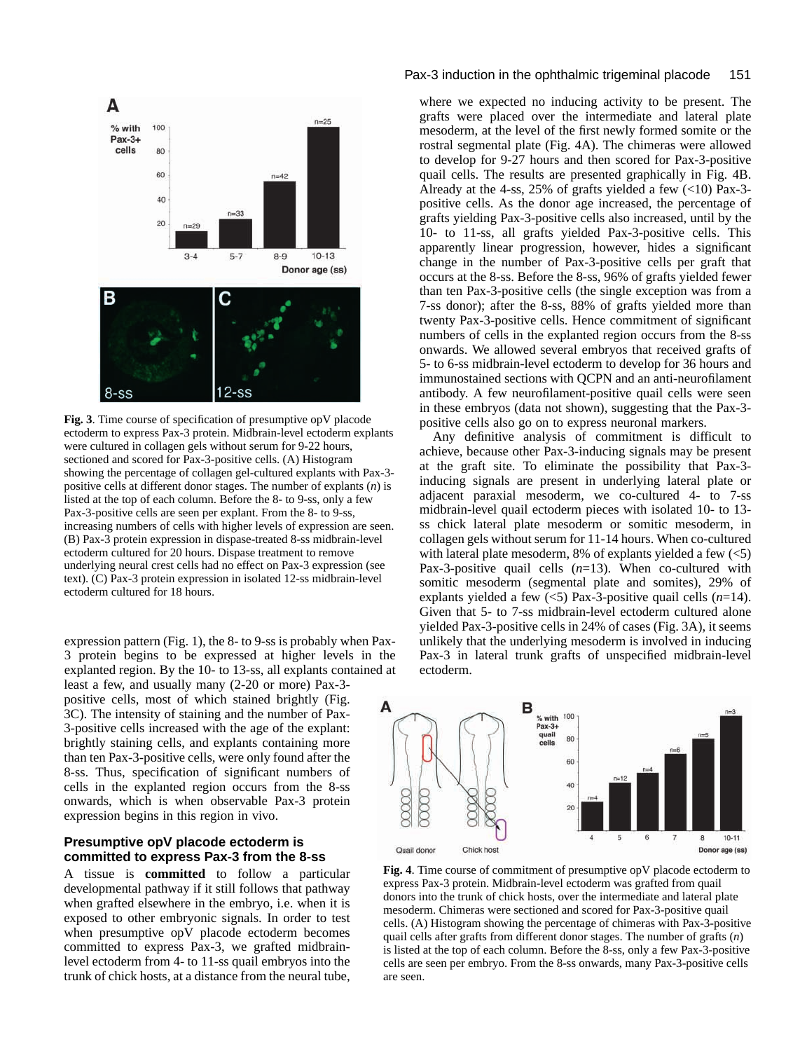

**Fig. 3**. Time course of specification of presumptive opV placode ectoderm to express Pax-3 protein. Midbrain-level ectoderm explants were cultured in collagen gels without serum for 9-22 hours, sectioned and scored for Pax-3-positive cells. (A) Histogram showing the percentage of collagen gel-cultured explants with Pax-3 positive cells at different donor stages. The number of explants (*n*) is listed at the top of each column. Before the 8- to 9-ss, only a few Pax-3-positive cells are seen per explant. From the 8- to 9-ss, increasing numbers of cells with higher levels of expression are seen. (B) Pax-3 protein expression in dispase-treated 8-ss midbrain-level ectoderm cultured for 20 hours. Dispase treatment to remove underlying neural crest cells had no effect on Pax-3 expression (see text). (C) Pax-3 protein expression in isolated 12-ss midbrain-level ectoderm cultured for 18 hours.

expression pattern (Fig. 1), the 8- to 9-ss is probably when Pax-3 protein begins to be expressed at higher levels in the explanted region. By the 10- to 13-ss, all explants contained at least a few, and usually many (2-20 or more) Pax-3 positive cells, most of which stained brightly (Fig. 3C). The intensity of staining and the number of Pax-3-positive cells increased with the age of the explant: brightly staining cells, and explants containing more than ten Pax-3-positive cells, were only found after the 8-ss. Thus, specification of significant numbers of cells in the explanted region occurs from the 8-ss onwards, which is when observable Pax-3 protein expression begins in this region in vivo.

# **Presumptive opV placode ectoderm is committed to express Pax-3 from the 8-ss**

A tissue is **committed** to follow a particular developmental pathway if it still follows that pathway when grafted elsewhere in the embryo, i.e. when it is exposed to other embryonic signals. In order to test when presumptive opV placode ectoderm becomes committed to express Pax-3, we grafted midbrainlevel ectoderm from 4- to 11-ss quail embryos into the trunk of chick hosts, at a distance from the neural tube,

#### Pax-3 induction in the ophthalmic trigeminal placode 151

where we expected no inducing activity to be present. The grafts were placed over the intermediate and lateral plate mesoderm, at the level of the first newly formed somite or the rostral segmental plate (Fig. 4A). The chimeras were allowed to develop for 9-27 hours and then scored for Pax-3-positive quail cells. The results are presented graphically in Fig. 4B. Already at the 4-ss,  $25\%$  of grafts yielded a few  $(<10$ ) Pax-3positive cells. As the donor age increased, the percentage of grafts yielding Pax-3-positive cells also increased, until by the 10- to 11-ss, all grafts yielded Pax-3-positive cells. This apparently linear progression, however, hides a significant change in the number of Pax-3-positive cells per graft that occurs at the 8-ss. Before the 8-ss, 96% of grafts yielded fewer than ten Pax-3-positive cells (the single exception was from a 7-ss donor); after the 8-ss, 88% of grafts yielded more than twenty Pax-3-positive cells. Hence commitment of significant numbers of cells in the explanted region occurs from the 8-ss onwards. We allowed several embryos that received grafts of 5- to 6-ss midbrain-level ectoderm to develop for 36 hours and immunostained sections with QCPN and an anti-neurofilament antibody. A few neurofilament-positive quail cells were seen in these embryos (data not shown), suggesting that the Pax-3 positive cells also go on to express neuronal markers.

Any definitive analysis of commitment is difficult to achieve, because other Pax-3-inducing signals may be present at the graft site. To eliminate the possibility that Pax-3 inducing signals are present in underlying lateral plate or adjacent paraxial mesoderm, we co-cultured 4- to 7-ss midbrain-level quail ectoderm pieces with isolated 10- to 13 ss chick lateral plate mesoderm or somitic mesoderm, in collagen gels without serum for 11-14 hours. When co-cultured with lateral plate mesoderm,  $8\%$  of explants yielded a few  $\left(\langle 5 \rangle\right)$ Pax-3-positive quail cells (*n*=13). When co-cultured with somitic mesoderm (segmental plate and somites), 29% of explants yielded a few (<5) Pax-3-positive quail cells (*n*=14). Given that 5- to 7-ss midbrain-level ectoderm cultured alone yielded Pax-3-positive cells in 24% of cases (Fig. 3A), it seems unlikely that the underlying mesoderm is involved in inducing Pax-3 in lateral trunk grafts of unspecified midbrain-level ectoderm.



**Fig. 4**. Time course of commitment of presumptive opV placode ectoderm to express Pax-3 protein. Midbrain-level ectoderm was grafted from quail donors into the trunk of chick hosts, over the intermediate and lateral plate mesoderm. Chimeras were sectioned and scored for Pax-3-positive quail cells. (A) Histogram showing the percentage of chimeras with Pax-3-positive quail cells after grafts from different donor stages. The number of grafts (*n*) is listed at the top of each column. Before the 8-ss, only a few Pax-3-positive cells are seen per embryo. From the 8-ss onwards, many Pax-3-positive cells are seen.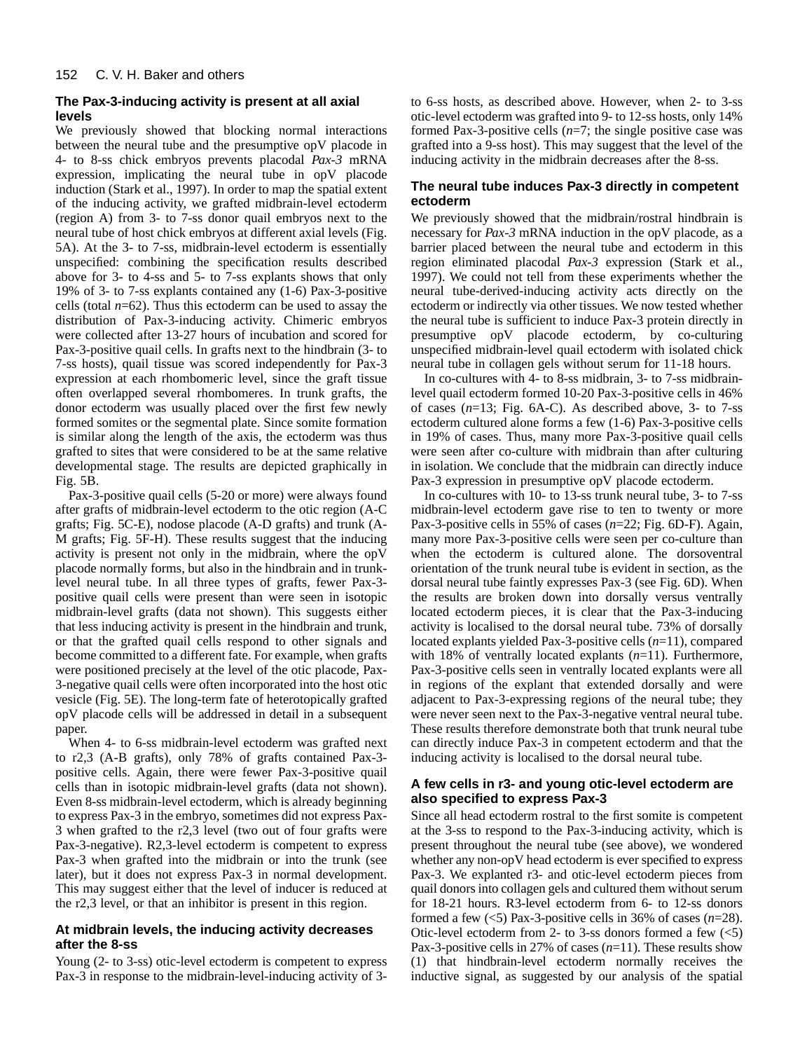# **The Pax-3-inducing activity is present at all axial levels**

We previously showed that blocking normal interactions between the neural tube and the presumptive opV placode in 4- to 8-ss chick embryos prevents placodal *Pax-3* mRNA expression, implicating the neural tube in opV placode induction (Stark et al., 1997). In order to map the spatial extent of the inducing activity, we grafted midbrain-level ectoderm (region A) from 3- to 7-ss donor quail embryos next to the neural tube of host chick embryos at different axial levels (Fig. 5A). At the 3- to 7-ss, midbrain-level ectoderm is essentially unspecified: combining the specification results described above for 3- to 4-ss and 5- to 7-ss explants shows that only 19% of 3- to 7-ss explants contained any (1-6) Pax-3-positive cells (total  $n=62$ ). Thus this ectoderm can be used to assay the distribution of Pax-3-inducing activity. Chimeric embryos were collected after 13-27 hours of incubation and scored for Pax-3-positive quail cells. In grafts next to the hindbrain (3- to 7-ss hosts), quail tissue was scored independently for Pax-3 expression at each rhombomeric level, since the graft tissue often overlapped several rhombomeres. In trunk grafts, the donor ectoderm was usually placed over the first few newly formed somites or the segmental plate. Since somite formation is similar along the length of the axis, the ectoderm was thus grafted to sites that were considered to be at the same relative developmental stage. The results are depicted graphically in Fig. 5B.

Pax-3-positive quail cells (5-20 or more) were always found after grafts of midbrain-level ectoderm to the otic region (A-C grafts; Fig. 5C-E), nodose placode (A-D grafts) and trunk (A-M grafts; Fig. 5F-H). These results suggest that the inducing activity is present not only in the midbrain, where the  $op\bar{V}$ placode normally forms, but also in the hindbrain and in trunklevel neural tube. In all three types of grafts, fewer Pax-3 positive quail cells were present than were seen in isotopic midbrain-level grafts (data not shown). This suggests either that less inducing activity is present in the hindbrain and trunk, or that the grafted quail cells respond to other signals and become committed to a different fate. For example, when grafts were positioned precisely at the level of the otic placode, Pax-3-negative quail cells were often incorporated into the host otic vesicle (Fig. 5E). The long-term fate of heterotopically grafted opV placode cells will be addressed in detail in a subsequent paper.

When 4- to 6-ss midbrain-level ectoderm was grafted next to r2,3 (A-B grafts), only 78% of grafts contained Pax-3 positive cells. Again, there were fewer Pax-3-positive quail cells than in isotopic midbrain-level grafts (data not shown). Even 8-ss midbrain-level ectoderm, which is already beginning to express Pax-3 in the embryo, sometimes did not express Pax-3 when grafted to the r2,3 level (two out of four grafts were Pax-3-negative). R2,3-level ectoderm is competent to express Pax-3 when grafted into the midbrain or into the trunk (see later), but it does not express Pax-3 in normal development. This may suggest either that the level of inducer is reduced at the r2,3 level, or that an inhibitor is present in this region.

# **At midbrain levels, the inducing activity decreases after the 8-ss**

Young (2- to 3-ss) otic-level ectoderm is competent to express Pax-3 in response to the midbrain-level-inducing activity of 3to 6-ss hosts, as described above. However, when 2- to 3-ss otic-level ectoderm was grafted into 9- to 12-ss hosts, only 14% formed Pax-3-positive cells (*n*=7; the single positive case was grafted into a 9-ss host). This may suggest that the level of the inducing activity in the midbrain decreases after the 8-ss.

# **The neural tube induces Pax-3 directly in competent ectoderm**

We previously showed that the midbrain/rostral hindbrain is necessary for *Pax-3* mRNA induction in the opV placode, as a barrier placed between the neural tube and ectoderm in this region eliminated placodal *Pax-3* expression (Stark et al., 1997). We could not tell from these experiments whether the neural tube-derived-inducing activity acts directly on the ectoderm or indirectly via other tissues. We now tested whether the neural tube is sufficient to induce Pax-3 protein directly in presumptive opV placode ectoderm, by co-culturing unspecified midbrain-level quail ectoderm with isolated chick neural tube in collagen gels without serum for 11-18 hours.

In co-cultures with 4- to 8-ss midbrain, 3- to 7-ss midbrainlevel quail ectoderm formed 10-20 Pax-3-positive cells in 46% of cases (*n*=13; Fig. 6A-C). As described above, 3- to 7-ss ectoderm cultured alone forms a few (1-6) Pax-3-positive cells in 19% of cases. Thus, many more Pax-3-positive quail cells were seen after co-culture with midbrain than after culturing in isolation. We conclude that the midbrain can directly induce Pax-3 expression in presumptive opV placode ectoderm.

In co-cultures with 10- to 13-ss trunk neural tube, 3- to 7-ss midbrain-level ectoderm gave rise to ten to twenty or more Pax-3-positive cells in 55% of cases (*n*=22; Fig. 6D-F). Again, many more Pax-3-positive cells were seen per co-culture than when the ectoderm is cultured alone. The dorsoventral orientation of the trunk neural tube is evident in section, as the dorsal neural tube faintly expresses Pax-3 (see Fig. 6D). When the results are broken down into dorsally versus ventrally located ectoderm pieces, it is clear that the Pax-3-inducing activity is localised to the dorsal neural tube. 73% of dorsally located explants yielded Pax-3-positive cells (*n*=11), compared with 18% of ventrally located explants (*n*=11). Furthermore, Pax-3-positive cells seen in ventrally located explants were all in regions of the explant that extended dorsally and were adjacent to Pax-3-expressing regions of the neural tube; they were never seen next to the Pax-3-negative ventral neural tube. These results therefore demonstrate both that trunk neural tube can directly induce Pax-3 in competent ectoderm and that the inducing activity is localised to the dorsal neural tube.

# **A few cells in r3- and young otic-level ectoderm are also specified to express Pax-3**

Since all head ectoderm rostral to the first somite is competent at the 3-ss to respond to the Pax-3-inducing activity, which is present throughout the neural tube (see above), we wondered whether any non-opV head ectoderm is ever specified to express Pax-3. We explanted r3- and otic-level ectoderm pieces from quail donors into collagen gels and cultured them without serum for 18-21 hours. R3-level ectoderm from 6- to 12-ss donors formed a few (<5) Pax-3-positive cells in 36% of cases (*n*=28). Otic-level ectoderm from 2- to 3-ss donors formed a few  $(\leq 5)$ Pax-3-positive cells in 27% of cases (*n*=11). These results show (1) that hindbrain-level ectoderm normally receives the inductive signal, as suggested by our analysis of the spatial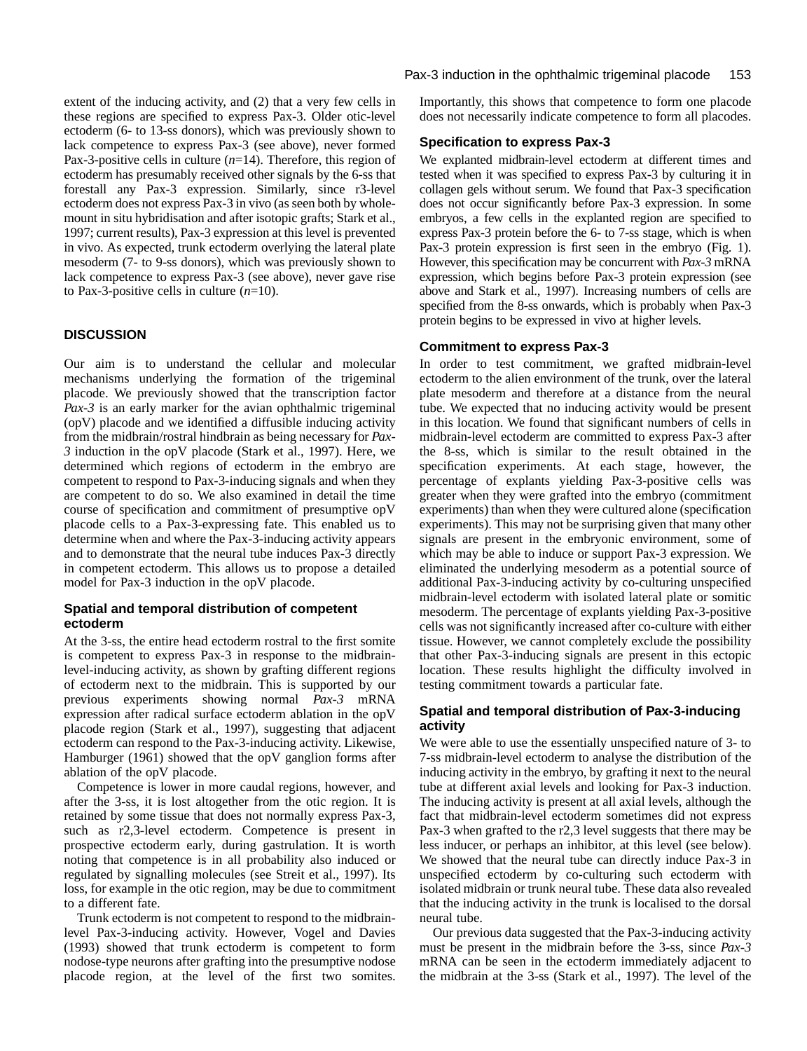extent of the inducing activity, and (2) that a very few cells in these regions are specified to express Pax-3. Older otic-level ectoderm (6- to 13-ss donors), which was previously shown to lack competence to express Pax-3 (see above), never formed Pax-3-positive cells in culture (*n*=14). Therefore, this region of ectoderm has presumably received other signals by the 6-ss that forestall any Pax-3 expression. Similarly, since r3-level ectoderm does not express Pax-3 in vivo (as seen both by wholemount in situ hybridisation and after isotopic grafts; Stark et al., 1997; current results), Pax-3 expression at this level is prevented in vivo. As expected, trunk ectoderm overlying the lateral plate mesoderm (7- to 9-ss donors), which was previously shown to lack competence to express Pax-3 (see above), never gave rise to Pax-3-positive cells in culture (*n*=10).

# **DISCUSSION**

Our aim is to understand the cellular and molecular mechanisms underlying the formation of the trigeminal placode. We previously showed that the transcription factor *Pax-3* is an early marker for the avian ophthalmic trigeminal (opV) placode and we identified a diffusible inducing activity from the midbrain/rostral hindbrain as being necessary for *Pax-3* induction in the opV placode (Stark et al., 1997). Here, we determined which regions of ectoderm in the embryo are competent to respond to Pax-3-inducing signals and when they are competent to do so. We also examined in detail the time course of specification and commitment of presumptive opV placode cells to a Pax-3-expressing fate. This enabled us to determine when and where the Pax-3-inducing activity appears and to demonstrate that the neural tube induces Pax-3 directly in competent ectoderm. This allows us to propose a detailed model for Pax-3 induction in the opV placode.

#### **Spatial and temporal distribution of competent ectoderm**

At the 3-ss, the entire head ectoderm rostral to the first somite is competent to express Pax-3 in response to the midbrainlevel-inducing activity, as shown by grafting different regions of ectoderm next to the midbrain. This is supported by our previous experiments showing normal *Pax-3* mRNA expression after radical surface ectoderm ablation in the opV placode region (Stark et al., 1997), suggesting that adjacent ectoderm can respond to the Pax-3-inducing activity. Likewise, Hamburger (1961) showed that the opV ganglion forms after ablation of the opV placode.

Competence is lower in more caudal regions, however, and after the 3-ss, it is lost altogether from the otic region. It is retained by some tissue that does not normally express Pax-3, such as r2,3-level ectoderm. Competence is present in prospective ectoderm early, during gastrulation. It is worth noting that competence is in all probability also induced or regulated by signalling molecules (see Streit et al., 1997). Its loss, for example in the otic region, may be due to commitment to a different fate.

Trunk ectoderm is not competent to respond to the midbrainlevel Pax-3-inducing activity. However, Vogel and Davies (1993) showed that trunk ectoderm is competent to form nodose-type neurons after grafting into the presumptive nodose placode region, at the level of the first two somites. Importantly, this shows that competence to form one placode does not necessarily indicate competence to form all placodes.

#### **Specification to express Pax-3**

We explanted midbrain-level ectoderm at different times and tested when it was specified to express Pax-3 by culturing it in collagen gels without serum. We found that Pax-3 specification does not occur significantly before Pax-3 expression. In some embryos, a few cells in the explanted region are specified to express Pax-3 protein before the 6- to 7-ss stage, which is when Pax-3 protein expression is first seen in the embryo (Fig. 1). However, this specification may be concurrent with *Pax-3* mRNA expression, which begins before Pax-3 protein expression (see above and Stark et al., 1997). Increasing numbers of cells are specified from the 8-ss onwards, which is probably when Pax-3 protein begins to be expressed in vivo at higher levels.

#### **Commitment to express Pax-3**

In order to test commitment, we grafted midbrain-level ectoderm to the alien environment of the trunk, over the lateral plate mesoderm and therefore at a distance from the neural tube. We expected that no inducing activity would be present in this location. We found that significant numbers of cells in midbrain-level ectoderm are committed to express Pax-3 after the 8-ss, which is similar to the result obtained in the specification experiments. At each stage, however, the percentage of explants yielding Pax-3-positive cells was greater when they were grafted into the embryo (commitment experiments) than when they were cultured alone (specification experiments). This may not be surprising given that many other signals are present in the embryonic environment, some of which may be able to induce or support Pax-3 expression. We eliminated the underlying mesoderm as a potential source of additional Pax-3-inducing activity by co-culturing unspecified midbrain-level ectoderm with isolated lateral plate or somitic mesoderm. The percentage of explants yielding Pax-3-positive cells was not significantly increased after co-culture with either tissue. However, we cannot completely exclude the possibility that other Pax-3-inducing signals are present in this ectopic location. These results highlight the difficulty involved in testing commitment towards a particular fate.

# **Spatial and temporal distribution of Pax-3-inducing activity**

We were able to use the essentially unspecified nature of 3- to 7-ss midbrain-level ectoderm to analyse the distribution of the inducing activity in the embryo, by grafting it next to the neural tube at different axial levels and looking for Pax-3 induction. The inducing activity is present at all axial levels, although the fact that midbrain-level ectoderm sometimes did not express Pax-3 when grafted to the r2,3 level suggests that there may be less inducer, or perhaps an inhibitor, at this level (see below). We showed that the neural tube can directly induce Pax-3 in unspecified ectoderm by co-culturing such ectoderm with isolated midbrain or trunk neural tube. These data also revealed that the inducing activity in the trunk is localised to the dorsal neural tube.

Our previous data suggested that the Pax-3-inducing activity must be present in the midbrain before the 3-ss, since *Pax-3* mRNA can be seen in the ectoderm immediately adjacent to the midbrain at the 3-ss (Stark et al., 1997). The level of the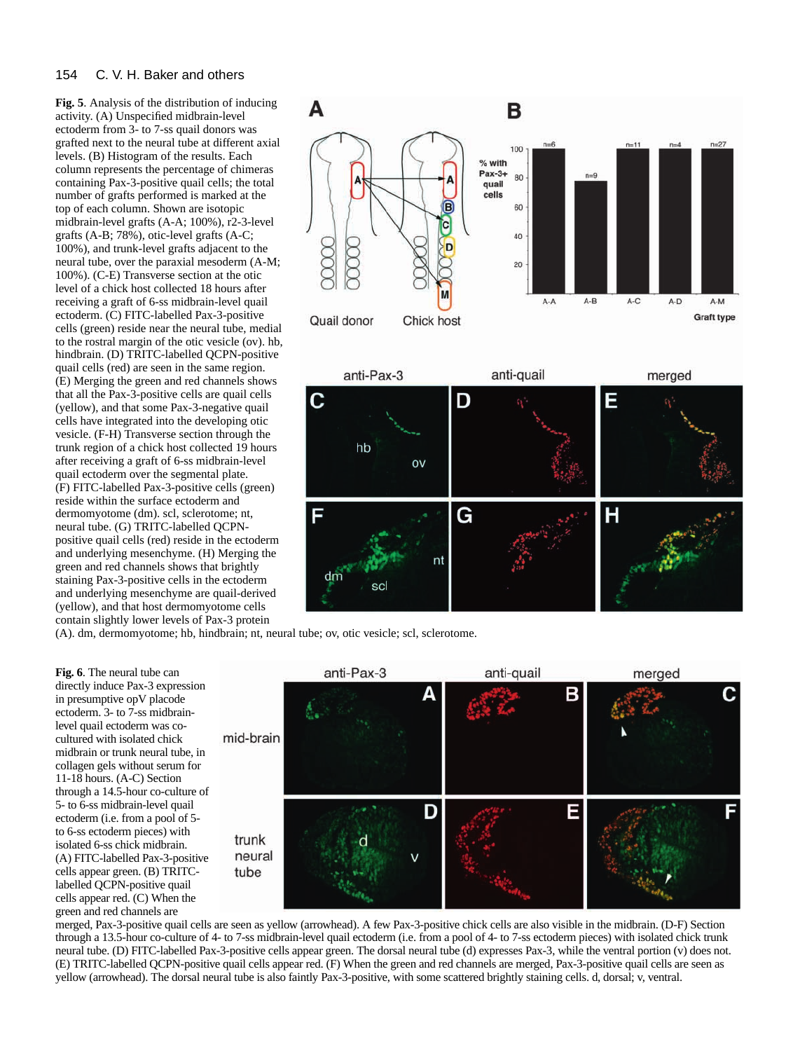#### 154 C. V. H. Baker and others

**Fig. 5**. Analysis of the distribution of inducing activity. (A) Unspecified midbrain-level ectoderm from 3- to 7-ss quail donors was grafted next to the neural tube at different axial levels. (B) Histogram of the results. Each column represents the percentage of chimeras containing Pax-3-positive quail cells; the total number of grafts performed is marked at the top of each column. Shown are isotopic midbrain-level grafts (A-A; 100%), r2-3-level grafts (A-B; 78%), otic-level grafts (A-C; 100%), and trunk-level grafts adjacent to the neural tube, over the paraxial mesoderm (A-M; 100%). (C-E) Transverse section at the otic level of a chick host collected 18 hours after receiving a graft of 6-ss midbrain-level quail ectoderm. (C) FITC-labelled Pax-3-positive cells (green) reside near the neural tube, medial to the rostral margin of the otic vesicle (ov). hb, hindbrain. (D) TRITC-labelled QCPN-positive quail cells (red) are seen in the same region. (E) Merging the green and red channels shows that all the Pax-3-positive cells are quail cells (yellow), and that some Pax-3-negative quail cells have integrated into the developing otic vesicle. (F-H) Transverse section through the trunk region of a chick host collected 19 hours after receiving a graft of 6-ss midbrain-level quail ectoderm over the segmental plate. (F) FITC-labelled Pax-3-positive cells (green) reside within the surface ectoderm and dermomyotome (dm). scl, sclerotome; nt, neural tube. (G) TRITC-labelled QCPNpositive quail cells (red) reside in the ectoderm and underlying mesenchyme. (H) Merging the green and red channels shows that brightly staining Pax-3-positive cells in the ectoderm and underlying mesenchyme are quail-derived (yellow), and that host dermomyotome cells contain slightly lower levels of Pax-3 protein





(A). dm, dermomyotome; hb, hindbrain; nt, neural tube; ov, otic vesicle; scl, sclerotome.

**Fig. 6**. The neural tube can directly induce Pax-3 expression in presumptive opV placode ectoderm. 3- to 7-ss midbrainlevel quail ectoderm was cocultured with isolated chick midbrain or trunk neural tube, in collagen gels without serum for 11-18 hours. (A-C) Section through a 14.5-hour co-culture of 5- to 6-ss midbrain-level quail ectoderm (i.e. from a pool of 5 to 6-ss ectoderm pieces) with isolated 6-ss chick midbrain. (A) FITC-labelled Pax-3-positive cells appear green. (B) TRITClabelled QCPN-positive quail cells appear red. (C) When the green and red channels are



merged, Pax-3-positive quail cells are seen as yellow (arrowhead). A few Pax-3-positive chick cells are also visible in the midbrain. (D-F) Section through a 13.5-hour co-culture of 4- to 7-ss midbrain-level quail ectoderm (i.e. from a pool of 4- to 7-ss ectoderm pieces) with isolated chick trunk neural tube. (D) FITC-labelled Pax-3-positive cells appear green. The dorsal neural tube (d) expresses Pax-3, while the ventral portion (v) does not. (E) TRITC-labelled QCPN-positive quail cells appear red. (F) When the green and red channels are merged, Pax-3-positive quail cells are seen as yellow (arrowhead). The dorsal neural tube is also faintly Pax-3-positive, with some scattered brightly staining cells. d, dorsal; v, ventral.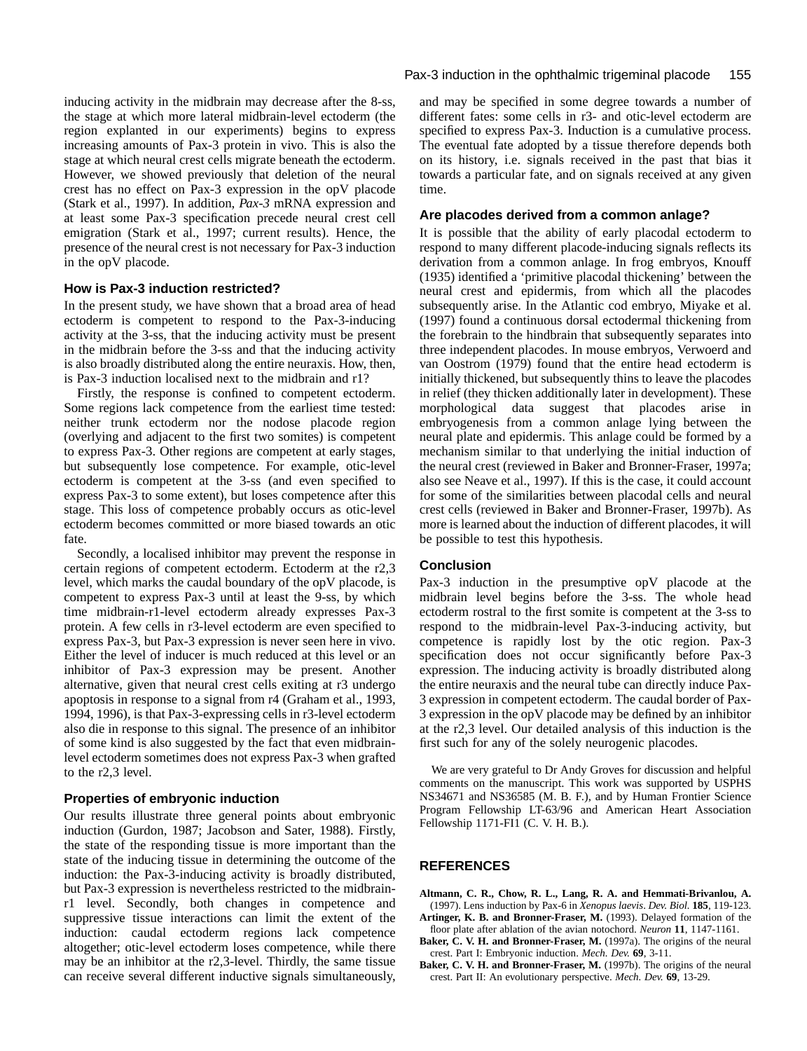inducing activity in the midbrain may decrease after the 8-ss, the stage at which more lateral midbrain-level ectoderm (the region explanted in our experiments) begins to express increasing amounts of Pax-3 protein in vivo. This is also the stage at which neural crest cells migrate beneath the ectoderm. However, we showed previously that deletion of the neural crest has no effect on Pax-3 expression in the opV placode (Stark et al., 1997). In addition, *Pax-3* mRNA expression and at least some Pax-3 specification precede neural crest cell emigration (Stark et al., 1997; current results). Hence, the presence of the neural crest is not necessary for Pax-3 induction in the opV placode.

#### **How is Pax-3 induction restricted?**

In the present study, we have shown that a broad area of head ectoderm is competent to respond to the Pax-3-inducing activity at the 3-ss, that the inducing activity must be present in the midbrain before the 3-ss and that the inducing activity is also broadly distributed along the entire neuraxis. How, then, is Pax-3 induction localised next to the midbrain and r1?

Firstly, the response is confined to competent ectoderm. Some regions lack competence from the earliest time tested: neither trunk ectoderm nor the nodose placode region (overlying and adjacent to the first two somites) is competent to express Pax-3. Other regions are competent at early stages, but subsequently lose competence. For example, otic-level ectoderm is competent at the 3-ss (and even specified to express Pax-3 to some extent), but loses competence after this stage. This loss of competence probably occurs as otic-level ectoderm becomes committed or more biased towards an otic fate.

Secondly, a localised inhibitor may prevent the response in certain regions of competent ectoderm. Ectoderm at the r2,3 level, which marks the caudal boundary of the opV placode, is competent to express Pax-3 until at least the 9-ss, by which time midbrain-r1-level ectoderm already expresses Pax-3 protein. A few cells in r3-level ectoderm are even specified to express Pax-3, but Pax-3 expression is never seen here in vivo. Either the level of inducer is much reduced at this level or an inhibitor of Pax-3 expression may be present. Another alternative, given that neural crest cells exiting at r3 undergo apoptosis in response to a signal from r4 (Graham et al., 1993, 1994, 1996), is that Pax-3-expressing cells in r3-level ectoderm also die in response to this signal. The presence of an inhibitor of some kind is also suggested by the fact that even midbrainlevel ectoderm sometimes does not express Pax-3 when grafted to the r2,3 level.

#### **Properties of embryonic induction**

Our results illustrate three general points about embryonic induction (Gurdon, 1987; Jacobson and Sater, 1988). Firstly, the state of the responding tissue is more important than the state of the inducing tissue in determining the outcome of the induction: the Pax-3-inducing activity is broadly distributed, but Pax-3 expression is nevertheless restricted to the midbrainr1 level. Secondly, both changes in competence and suppressive tissue interactions can limit the extent of the induction: caudal ectoderm regions lack competence altogether; otic-level ectoderm loses competence, while there may be an inhibitor at the r2,3-level. Thirdly, the same tissue can receive several different inductive signals simultaneously, and may be specified in some degree towards a number of different fates: some cells in r3- and otic-level ectoderm are specified to express Pax-3. Induction is a cumulative process. The eventual fate adopted by a tissue therefore depends both on its history, i.e. signals received in the past that bias it towards a particular fate, and on signals received at any given time.

#### **Are placodes derived from a common anlage?**

It is possible that the ability of early placodal ectoderm to respond to many different placode-inducing signals reflects its derivation from a common anlage. In frog embryos, Knouff (1935) identified a 'primitive placodal thickening' between the neural crest and epidermis, from which all the placodes subsequently arise. In the Atlantic cod embryo, Miyake et al. (1997) found a continuous dorsal ectodermal thickening from the forebrain to the hindbrain that subsequently separates into three independent placodes. In mouse embryos, Verwoerd and van Oostrom (1979) found that the entire head ectoderm is initially thickened, but subsequently thins to leave the placodes in relief (they thicken additionally later in development). These morphological data suggest that placodes arise in embryogenesis from a common anlage lying between the neural plate and epidermis. This anlage could be formed by a mechanism similar to that underlying the initial induction of the neural crest (reviewed in Baker and Bronner-Fraser, 1997a; also see Neave et al., 1997). If this is the case, it could account for some of the similarities between placodal cells and neural crest cells (reviewed in Baker and Bronner-Fraser, 1997b). As more is learned about the induction of different placodes, it will be possible to test this hypothesis.

#### **Conclusion**

Pax-3 induction in the presumptive opV placode at the midbrain level begins before the 3-ss. The whole head ectoderm rostral to the first somite is competent at the 3-ss to respond to the midbrain-level Pax-3-inducing activity, but competence is rapidly lost by the otic region. Pax-3 specification does not occur significantly before Pax-3 expression. The inducing activity is broadly distributed along the entire neuraxis and the neural tube can directly induce Pax-3 expression in competent ectoderm. The caudal border of Pax-3 expression in the opV placode may be defined by an inhibitor at the r2,3 level. Our detailed analysis of this induction is the first such for any of the solely neurogenic placodes.

We are very grateful to Dr Andy Groves for discussion and helpful comments on the manuscript. This work was supported by USPHS NS34671 and NS36585 (M. B. F.), and by Human Frontier Science Program Fellowship LT-63/96 and American Heart Association Fellowship 1171-FI1 (C. V. H. B.).

#### **REFERENCES**

- **Altmann, C. R., Chow, R. L., Lang, R. A. and Hemmati-Brivanlou, A.** (1997). Lens induction by Pax-6 in *Xenopus laevis*. *Dev. Biol.* **185**, 119-123. **Artinger, K. B. and Bronner-Fraser, M.** (1993). Delayed formation of the
- floor plate after ablation of the avian notochord. *Neuron* **11**, 1147-1161.
- **Baker, C. V. H. and Bronner-Fraser, M.** (1997a). The origins of the neural crest. Part I: Embryonic induction. *Mech. Dev.* **69**, 3-11.
- **Baker, C. V. H. and Bronner-Fraser, M.** (1997b). The origins of the neural crest. Part II: An evolutionary perspective. *Mech. Dev.* **69**, 13-29.